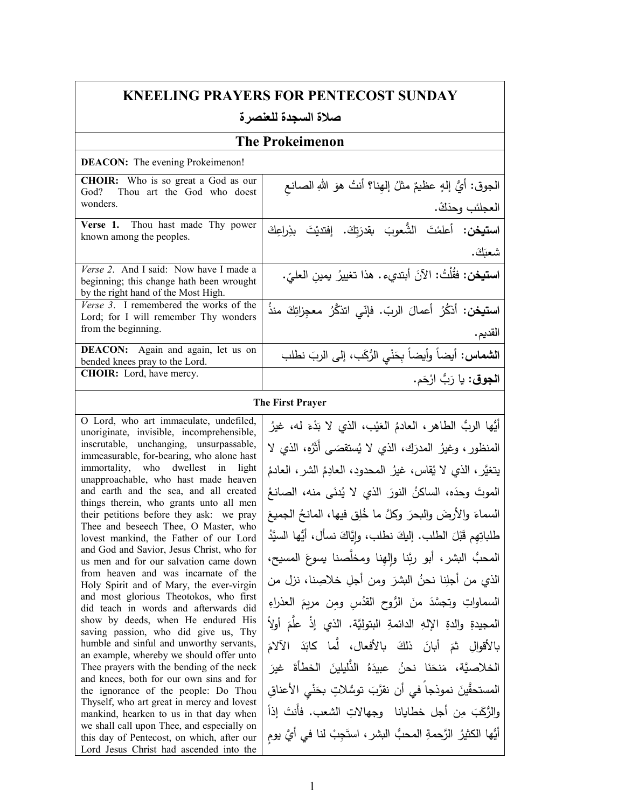| <b>KNEELING PRAYERS FOR PENTECOST SUNDAY</b>                                                                                        |                                                                              |
|-------------------------------------------------------------------------------------------------------------------------------------|------------------------------------------------------------------------------|
| صلاة السجدة للعنصر ة                                                                                                                |                                                                              |
|                                                                                                                                     | <b>The Prokeimenon</b>                                                       |
| <b>DEACON:</b> The evening Prokeimenon!                                                                                             |                                                                              |
| <b>CHOIR:</b> Who is so great a God as our<br>God?<br>Thou art the God who doest<br>wonders.                                        | الجوق: أيُّ إلهٍ عظيمٌ مثلُ إلهِنا؟ أنتُ هوَ اللهِ الصانع<br>العجلئب وحدَكْ. |
| Verse 1. Thou hast made Thy power<br>known among the peoples.                                                                       | ا <b>ستيخن:</b> أعلمْتَ الشُّعوبَ بقدرَتكَ. إفتديْتَ بذِراعِكَ               |
|                                                                                                                                     | شعبَكَ.                                                                      |
| Verse 2. And I said: Now have I made a<br>beginning; this change hath been wrought<br>by the right hand of the Most High.           | ا <b>ستيخن:</b> فقُلْتُ: الآنَ أبتديء . هذا تغييرُ يمينِ العليّ.             |
| Verse 3. I remembered the works of the<br>Lord; for I will remember Thy wonders<br>from the beginning.                              | ا <b>ستيخن</b> : أَنكُرُ أعمالَ الربّ. فإنّي اتنكَّرُ معجِزاتِكَ منذَ        |
| DEACON: Again and again, let us on                                                                                                  | القديم.                                                                      |
| bended knees pray to the Lord.<br>CHOIR: Lord, have mercy.                                                                          | ا <b>لشماس:</b> أيضاً وأيضاً بِحَنْيِ الرُّكَبِ، إلى الربَ نطلب              |
|                                                                                                                                     | ا <b>لجوق</b> : يا رَبُّ ارْحَم.                                             |
|                                                                                                                                     | <b>The First Prayer</b>                                                      |
| O Lord, who art immaculate, undefiled,<br>unoriginate, invisible, incomprehensible,                                                 | أَيُّها الربُّ الطاهرِ، العادمُ العَيْبِ، الذي لا بَدْءَ له، غيرُ            |
| inscrutable, unchanging, unsurpassable,<br>immeasurable, for-bearing, who alone hast                                                | المنظور ، وغيرُ المدرَك، الذي لا يُستقصَى أَثَرُه، الذي لا                   |
| immortality, who dwellest in light                                                                                                  | يتغيَّر، الذي لا يُقاس، غيرُ المحدود، العادِمُ الشر، العادمُ                 |
| unapproachable, who hast made heaven<br>and earth and the sea, and all created                                                      | الموتَ وحدَه، الساكنُ النورَ الذي لا يُدنَى منه، الصانعُ                     |
| things therein, who grants unto all men<br>their petitions before they ask: we pray                                                 | السماءَ والأرضَ والبحرَ وكلَّ ما خُلِقٍ فيها، المانحُ الجميعَ                |
| Thee and beseech Thee, O Master, who<br>lovest mankind, the Father of our Lord                                                      | طلباتِهِم قَبْلَ الطلب. إليكَ نطلب، وإيَّاكَ نسأل، أيُّها السيَّدُ           |
| and God and Savior, Jesus Christ, who for<br>us men and for our salvation came down                                                 | المحبُّ البشرِ ، أبو ربَّنا وإلهِنا ومخلَّصنا يسوعَ المسيح،                  |
| from heaven and was incarnate of the<br>Holy Spirit and of Mary, the ever-virgin                                                    | الذي من أجلِنا نحنُ البشرَ ومن أجلِ خلاصِنا، نزل من                          |
| and most glorious Theotokos, who first<br>did teach in words and afterwards did                                                     | السماواتِ وتجسَّدَ منَ الرُّوحِ القدُسِ ومِن مريمَ العذراءِ                  |
| show by deeds, when He endured His<br>saving passion, who did give us, Thy                                                          | المجيدةِ والدةِ اﻹلهِ الدائمةِ البتوليَّة. الذي إذْ علَّمَ أولاً             |
| humble and sinful and unworthy servants,                                                                                            | بالأقوالِ ثمَ أبانَ ذلكَ بالأفعال، لَّما كابَدَ الآلامَ                      |
| an example, whereby we should offer unto<br>Thee prayers with the bending of the neck                                               | الخلاصيَّة، مَنحَنَا نحنُ عبيدَهُ الذُّليلينَ الخطأةَ غيرَ                   |
| and knees, both for our own sins and for<br>the ignorance of the people: Do Thou                                                    | المستحقَّينَ نموذجاً في أن نقرَّبَ توسُّلاتٍ بخَنْيِ الأعناقِ                |
| Thyself, who art great in mercy and lovest<br>mankind, hearken to us in that day when                                               | والرُّكَبَ مِن أجل خطايانا ۖ وجهالاتِ الشعب. فأَنتَ إذاً                     |
| we shall call upon Thee, and especially on<br>this day of Pentecost, on which, after our<br>Lord Jesus Christ had ascended into the | أَيُّها الكثيرُ  الرَّحمةِ المحبُّ  البشرِ ، استَجِبْ لنا في أيَّ يوم        |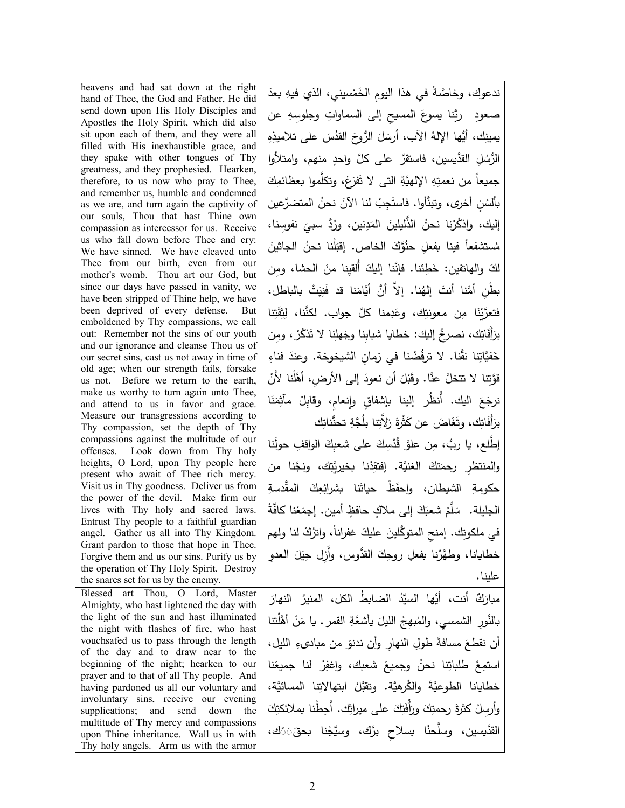heavens and had sat down at the right hand of Thee, the God and Father, He did send down upon His Holy Disciples and Apostles the Holy Spirit, which did also sit upon each of them, and they were all filled with His inexhaustible grace, and they spake with other tongues of Thy greatness, and they prophesied. Hearken, therefore, to us now who pray to Thee, and remember us, humble and condemned as we are, and turn again the captivity of our souls, Thou that hast Thine own compassion as intercessor for us. Receive us who fall down before Thee and cry: We have sinned. We have cleaved unto Thee from our birth, even from our mother's womb. Thou art our God, but since our days have passed in vanity, we have been stripped of Thine help, we have been deprived of every defense. But emboldened by Thy compassions, we call out: Remember not the sins of our youth and our ignorance and cleanse Thou us of our secret sins, cast us not away in time of old age; when our strength fails, forsake us not. Before we return to the earth, make us worthy to turn again unto Thee, and attend to us in favor and grace. Measure our transgressions according to Thy compassion, set the depth of Thy compassions against the multitude of our offenses. Look down from Thy holy heights, O Lord, upon Thy people here present who await of Thee rich mercy. Visit us in Thy goodness. Deliver us from the power of the devil. Make firm our lives with Thy holy and sacred laws. Entrust Thy people to a faithful guardian angel. Gather us all into Thy Kingdom. Grant pardon to those that hope in Thee. Forgive them and us our sins. Purify us by the operation of Thy Holy Spirit. Destroy the snares set for us by the enemy. <u>:</u> Blessed art Thou, O Lord, Master Almighty, who hast lightened the day with the light of the sun and hast illuminated the night with flashes of fire, who hast vouchsafed us to pass through the length of the day and to draw near to the beginning of the night; hearken to our prayer and to that of all Thy people. And having pardoned us all our voluntary and involuntary sins, receive our evening supplications; and send down the multitude of Thy mercy and compassions upon Thine inheritance. Wall us in with Thy holy angels. Arm us with the armor القدَّيسين، وسلَّحنْا بسلاحِ برَّك، وسيَّجْنا بحقَ۞ك ،

ندعوك، وخاصَّةً في هذا اليومِ الخَمْسيني، الذي فيهِ بعدَ صعودِ ۖ ربَّنا يسوعَ المسيحِ إلى السماواتِ وجلوسِهِ عن يمينِكِ، أَيُّها الإِلهُ الآب، أَرسَلَ الزُّوحَ القَدُسَ على تلاميذِهِ<br>\* الرُّسُلِ القدَّيسين، فاستقرَّ على كلَّ واحدٍ منهم، وامتلأوا جميعاً من نعمتِهِ الإلهيَّةِ التي لا تَفرَغ، وتكلَّموا بعظائمِكَ<br>-بألسُنٍ أخرى، وتبنَّأوا. فاستَجِبْ لنا الآنَ نحنُ المتضرَّعين إليك، واذكُرْنا نحنُ الذَّليلينَ المَدِنين، ورُدَّ سبيَ نفوسِنا،<br>. مُستشفعاً فينا بفعلِ حنُوَّكَ الخاص. إقبَلْنا نحنُ الجاثينَ<br>، لكَ والهاتفين: خَطِئنا. فإنَّنا إليكَ أُلقيِنا منَ الحشا، ومِن بطْنِ أمَّنا أنتَ إلهُنا. إلاَّ أنَّ أيَّامَنا قد فَنِيَتْ بالباطل، فتعرَّيْنَا مِن معونتِك، وعَدِمنا كلَّ جواب. لكنَّنا، لِثِقَتِنا برَأَفَاتِك، نصرخُ إليك: خطايا شبابِنا وجَهلِنا لا تَنكُرْ، ومِن خَفيَّاتِنا نقَّنا. لا ترفُضْنا في زمانِ الشيخوخة. وعندَ فناءِ قَوَّتِنا لا تتخلَّ عنَّا. وقَبْلَ أن نعودَ إلى الأرضِ، أهَّلْنا لأنْ<br>. نرجَعَ اليك. أُنظُر إلينا بإشفاقٍ وإِنعامٍ، وقابِلْ مآثِمَنَا برَأَفَاتِك، وتَغَاضَ عن كَثْرةَ زِلاَّتِنا بِلُجَّةِ تحنُّناتِك إطَّلع، يا ربُ، مِن علوَّ قُدْسِكَ على شعبِكَ الواقفِ حولَنا .<br>-والمنتظرِ رحمَتكَ الغنيَّة. إفتقِّننا بخيريَّتِك، ونجَّنا من حكومةِ الشيطان، واحفَظْ حياتَنا بشرائِعِكَ المقَّدسةِ الْجليلة. سَلَّمْ شعبَكَ إلى ملاكٍ حافظٍ أمين. إجمَعْنا كافَّةً في ملكوتِك. إمنحِ المتوكَّلينَ عليكَ غفراناً، واترُكْ لنا ولهم خطايانا، وطهَّرْنا بفعلِ روحِكَ القدُّوس، وأَزِل حِيَلَ العدوِ علینا. مبارَكٌ أنت، أيُّها السيَّدُ الضابط الكل، المنيرُ النهارَ بالنُّورِ الشمسي، والمُبهِجُ الليلَ يأشعَّةِ القمر . يا مَنْ أهَّلْتنا أن نقطعَ مسافةَ طولِ النهارِ وأن ندنوَ من مبادىءِ الليل، استمِعْ طلباتِنا نحنُ وجميعَ شعبك، واغفِرْ لنا جميعَنا خطايانا الطوعيَّةَ والكُرهيَّة. وتقبَّلْ ابتهالاتِنا المسائيَّة، وأرسِلْ كثرةَ رحمتِكَ ورَأْفَتِكَ على ميراثِك. أَحِطْنا بملائكتِكَ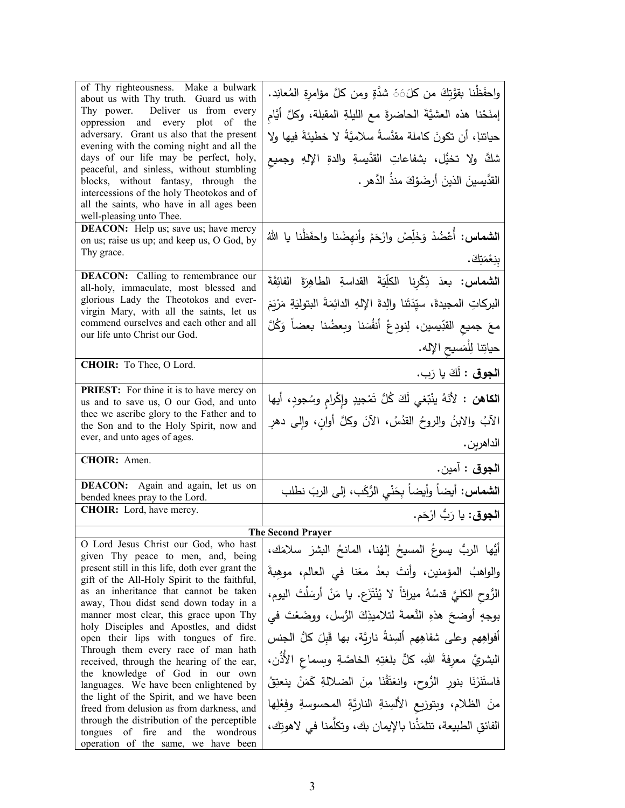| of Thy righteousness. Make a bulwark<br>about us with Thy truth. Guard us with<br>Thy power. Deliver us from every<br>oppression and every plot of the<br>adversary. Grant us also that the present<br>evening with the coming night and all the<br>days of our life may be perfect, holy,<br>peaceful, and sinless, without stumbling<br>blocks, without fantasy, through the<br>intercessions of the holy Theotokos and of | واحفَظْنا بقوَّتِكَ من كلَّنَ شدَّةٍ ومن كلَّ مؤامرةِ المُعانِد.<br>إمنَحْنا هذه العشيَّةَ الحاضرةَ مع الليلةِ المقبلة، وكلَّ أيَّام<br>حياتناِ، أن تكونَ كاملة مقدَّسةً سلاميَّةً لا خطيئةَ فيها ولا<br>شكَّ ولا تخيُّل، بشفاعاتِ القدَّيسةِ والدةِ الإلهِ وجميع<br>القدَّيسينَ الذينَ أرضَوْكَ منذُ الدَّهرِ . |
|------------------------------------------------------------------------------------------------------------------------------------------------------------------------------------------------------------------------------------------------------------------------------------------------------------------------------------------------------------------------------------------------------------------------------|------------------------------------------------------------------------------------------------------------------------------------------------------------------------------------------------------------------------------------------------------------------------------------------------------------------|
| all the saints, who have in all ages been<br>well-pleasing unto Thee.                                                                                                                                                                                                                                                                                                                                                        |                                                                                                                                                                                                                                                                                                                  |
| <b>DEACON:</b> Help us; save us; have mercy<br>on us; raise us up; and keep us, O God, by<br>Thy grace.                                                                                                                                                                                                                                                                                                                      | <b>الشماس:</b> أَعْضُدْ وَخَلِّصْ وارْحَمْ وأنهِضْنا واحفَظْنا يا اللهُ<br><u>بنِعْمَتِكَ.</u>                                                                                                                                                                                                                   |
| <b>DEACON:</b> Calling to remembrance our<br>all-holy, immaculate, most blessed and<br>glorious Lady the Theotokos and ever-<br>virgin Mary, with all the saints, let us<br>commend ourselves and each other and all                                                                                                                                                                                                         | <b>الشماس: بع</b> دَ ذِكْرِنا الكلِّيَةَ القداسةِ الطاهِرَةَ الفائِقَةَ<br>البركاتِ المجيدةَ، سيِّدَتَنا والِدةَ اﻹلهِ الدائِمَةَ البتوليَةِ مَرْيَمَ<br>معَ جميع القدِّيسين، لِنودِعْ أنفُسَنا وبعضُنا بعضاً وَكُلَّ                                                                                            |
| our life unto Christ our God.                                                                                                                                                                                                                                                                                                                                                                                                | حياتِنا لِلْمَسيحِ الإِله.                                                                                                                                                                                                                                                                                       |
| CHOIR: To Thee, O Lord.                                                                                                                                                                                                                                                                                                                                                                                                      | ا <b>لجوق :</b> لَكَ يا رَب.                                                                                                                                                                                                                                                                                     |
| <b>PRIEST:</b> For thine it is to have mercy on<br>us and to save us, O our God, and unto<br>thee we ascribe glory to the Father and to<br>the Son and to the Holy Spirit, now and<br>ever, and unto ages of ages.                                                                                                                                                                                                           | ا <b>لكاهن :</b> لأنَهُ ينْبّغي لَكَ كُلُّ تَمْجيدٍ وإِكْرامِ وسُجودٍ، أيها<br>الآبُ والابنُ والروحُ القدُسُ، الآنَ وكلَّ أوانِ، وإلى دهرِ<br>الداهرين .                                                                                                                                                         |
| CHOIR: Amen.                                                                                                                                                                                                                                                                                                                                                                                                                 | ا <b>لجوق :</b> آمين.                                                                                                                                                                                                                                                                                            |
| DEACON: Again and again, let us on<br>bended knees pray to the Lord.                                                                                                                                                                                                                                                                                                                                                         | ا <b>لشماس:</b> أيضاً وأيضاً بِحَنْيِ الرُّكَبِ، إلى الربَ نطلب                                                                                                                                                                                                                                                  |
| CHOIR: Lord, have mercy.                                                                                                                                                                                                                                                                                                                                                                                                     | ا <b>لجوق</b> : يا رَبُّ ارْحَم.                                                                                                                                                                                                                                                                                 |
|                                                                                                                                                                                                                                                                                                                                                                                                                              | <b>The Second Prayer</b>                                                                                                                                                                                                                                                                                         |
| O Lord Jesus Christ our God, who hast<br>given Thy peace to men, and, being<br>present still in this life, doth ever grant the<br>gift of the All-Holy Spirit to the faithful,                                                                                                                                                                                                                                               | أيُّها الربُّ يسوعُ المسيحُ إلهُنا، المانحُ البشرَ سلامَك،<br>والواهبُ المؤمنين، وأنتَ بعدُ معَنا في العالم، موهِبةَ                                                                                                                                                                                             |
| as an inheritance that cannot be taken<br>away, Thou didst send down today in a                                                                                                                                                                                                                                                                                                                                              | الرُّوحِ الكليَّ قدسُهُ ميراثاً لا يُنْتَزَعِ. يا مَنْ أَرسَلْتَ اليومِ،                                                                                                                                                                                                                                         |
| manner most clear, this grace upon Thy<br>holy Disciples and Apostles, and didst<br>open their lips with tongues of fire.<br>Through them every race of man hath                                                                                                                                                                                                                                                             | بوجهٍ أوضحَ هذهِ النَّعمةَ لتلاميذِكَ الرُّسلِ، ووضَعْتَ في<br>أفواهِهم وعلى شفاهِهم ألسِنةً ناريَّة، بها قَبلَ كلُّ الجنس                                                                                                                                                                                       |
| received, through the hearing of the ear,<br>the knowledge of God in our own<br>languages. We have been enlightened by                                                                                                                                                                                                                                                                                                       | البشريَّ معرِفةَ اللهِ، كلِّ بلغتِهِ الخاصَّةِ وبِسماعِ الأَذُن،<br>فاستَنَرْنَا بنورِ الرُّوحِ، وانعَتَّقْنَا مِنَ الضلالةِ كَمَنْ ينعتِقُ                                                                                                                                                                      |
| the light of the Spirit, and we have been<br>freed from delusion as from darkness, and                                                                                                                                                                                                                                                                                                                                       | منَ الظلام، وبتوزيع الألسِنةِ الناريَّةِ المحسوسةِ وفِعْلِها                                                                                                                                                                                                                                                     |
| through the distribution of the perceptible<br>tongues of fire and the wondrous<br>operation of the same, we have been                                                                                                                                                                                                                                                                                                       | الفائق الطبيعة، تتلمَذْنا بالإيمان بك، وتكلَّمنا في لاهوتك،                                                                                                                                                                                                                                                      |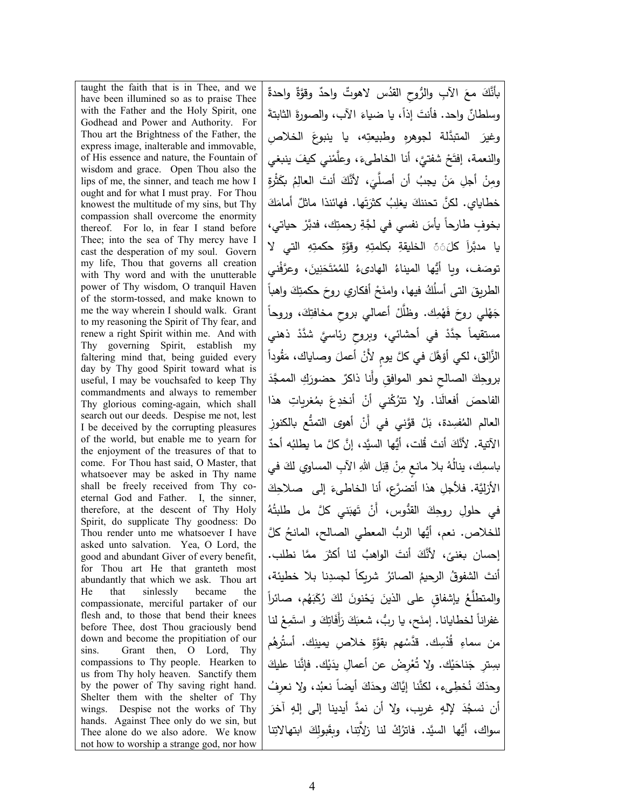taught the faith that is in Thee, and we have been illumined so as to praise Thee with the Father and the Holy Spirit, one Godhead and Power and Authority. For Thou art the Brightness of the Father, the express image, inalterable and immovable, of His essence and nature, the Fountain of wisdom and grace. Open Thou also the lips of me, the sinner, and teach me how I ought and for what I must pray. For Thou knowest the multitude of my sins, but Thy compassion shall overcome the enormity thereof. For lo, in fear I stand before Thee; into the sea of Thy mercy have I cast the desperation of my soul. Govern my life, Thou that governs all creation with Thy word and with the unutterable power of Thy wisdom, O tranquil Haven of the storm-tossed, and make known to me the way wherein I should walk. Grant to my reasoning the Spirit of Thy fear, and renew a right Spirit within me. And with Thy governing Spirit, establish my faltering mind that, being guided every day by Thy good Spirit toward what is useful, I may be vouchsafed to keep Thy commandments and always to remember Thy glorious coming-again, which shall search out our deeds. Despise me not, lest I be deceived by the corrupting pleasures of the world, but enable me to yearn for the enjoyment of the treasures of that to come. For Thou hast said, O Master, that whatsoever may be asked in Thy name shall be freely received from Thy coeternal God and Father. I, the sinner, therefore, at the descent of Thy Holy Spirit, do supplicate Thy goodness: Do Thou render unto me whatsoever I have asked unto salvation. Yea, O Lord, the good and abundant Giver of every benefit, for Thou art He that granteth most abundantly that which we ask. Thou art He that sinlessly became the compassionate, merciful partaker of our flesh and, to those that bend their knees before Thee, dost Thou graciously bend down and become the propitiation of our sins. Grant then, O Lord, Thy compassions to Thy people. Hearken to us from Thy holy heaven. Sanctify them by the power of Thy saving right hand. Shelter them with the shelter of Thy wings. Despise not the works of Thy hands. Against Thee only do we sin, but Thee alone do we also adore. We know not how to worship a strange god, nor how

ٌ ٌ واحدة ٌ َّ وقوة ُ ٌ س لاهوت واحد َ ِ الآب ُّ والر ِوح القد َ مع َّ �أنك وسلطانٌ واحد. فأنتَ إذا، يا ضياءَ الأب، والصورةَ الثابتةُ وغيرَ المتبدَّلة لجوهرهِ وطبيعتِه، يا ينبوعَ الخلاص والنعمة، إفتَحْ شفتيَّ، أنا الخاطيءَ، وعلَّمْني كيفَ ينبغي ومِنْ أجلِ مَنْ يجبُ أن أصلَّيَ، لأنَّكَ أنتَ العالِمُ بكَثْرةِ خطاياي. لكنَّ تحننكَ يغلِبُ كثرَتَها. فهائنذا ماثلٌ أمامَكَ<br>-بخوفٍ طارحاً يأسَ نفسي في لجَّةِ رحمتِك، فدبَّرْ حياتي، يا مدبَّراً كلَ6َ الخليقةِ بكلمتِهِ وقوَّةِ حكمتِهِ التي لا توصَف، ويا أيُّها الميناءُ الهاد*ى*ءُ للمُمْتَحَنِينَ، وعرَّفْني ْ الطريق التـى أسلُكُ فيها، وامنَحْ أفكاري روحَ حكمتِكَ واهباً جَهْلي روحَ فَهْمِك. وظلَّلْ أعمالي بروحِ مخافتِكَ، وروحاً مستقيماً جدَّدْ في أحشائي، وبروحِ رئاسيَّ شدَّدْ ذهني الزَّالق، لكي أَوْهَّلَ في كلَّ يومٍ لأَنْ أعملَ وصـاياك، مَقُوداً بروحِكَ الصالحِ نحو الموافقِ وأَنا ذاكرٌ حضورَكِ الممجَّدَ الفاحصَ أفعالَنا. ولا تترُكْني أنْ أنخدِعَ بمُغربِاتِ هذا العالم المُفسِدة، بَلْ قوَّني في أَنْ أهو*ى* التمتُّع بالكنوزِ الآتية. لأَنَّكَ أَنتَ قَلت، أَيُّها السيَّد، إنَّ كلَّ ما يطلبُه أحدٌ باسمِك، ينالُهُ بـلا مانـعٍ مِنْ قِبَل اللهِ الآبِ الممساوي لكَ في الأزليَّة. فلأجلِ هذا أتضرَّع، أنا الخاطيءَ إلى حملاحِكَ في حلولِ روحِكَ القدُّوس، أَنْ تَهبَني كلَّ مل طلبتُهُ للخلاص. نعم، أيُّها الربُّ المعطي الصالح، المانحُ كلَّ إحسان بغنيً، لأنَّكَ أنتَ الواهبُ لنا أكثرَ ممَّا نطلب.<br>-أنتَ الشفوقُ الرحيمُ الصائرُ شريكاً لجسدِنا بلا خطيئة،<br>-والمتطلَّعُ ياشفاقٍ على الذينَ يَحْنونَ لكَ رُكَبَهُم، صائراً  $\zeta$ غفراناً لخطايانا. إمنَح، يا ربٌ، شعبَكَ رَأَفَاتِكَ و استَمِعْ لنا من سماءِ قُدْسِك. قدَّسْهم بقوَّةِ خلاص ِ يمينِك. أستُرهُم .<br>-بسِترِ جَناحَيْك. ولا تُعْرِضْ عن أعمالِ يدَيْك. فإنَّنا عليكَ ْ وحدَكَ نُخطِيء، لكنَّنا إيَّاكَ وحدَكَ أيضاً نعبُد، ولا نعرِفُ أن نسجُدَ لإلهٍ غريب، ولا أن نمدَّ أيدينا إلى إلهِ آخرَ سواك، أيُّها السيَّد. فاترُكْ لنا زلاَّتِنا، وبِقَبولِكَ ابتهالاتِنا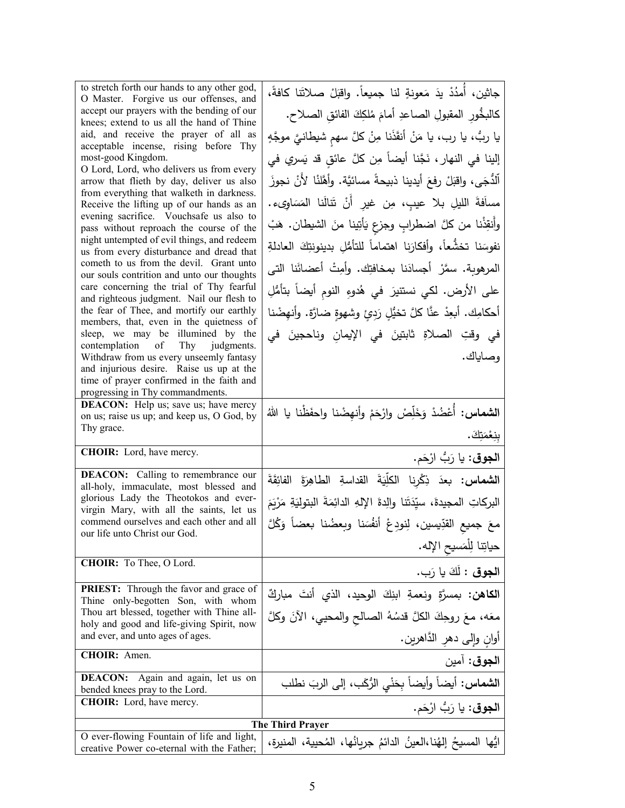| to stretch forth our hands to any other god,<br>O Master. Forgive us our offenses, and   | جاثين، أُمدُدْ يدَ مَعونةٍ لنا جميعاً. واقبَلْ صلاتَنا كافةً،                |
|------------------------------------------------------------------------------------------|------------------------------------------------------------------------------|
| accept our prayers with the bending of our<br>knees; extend to us all the hand of Thine  | كالبخُورِ المقبولِ الصاعدِ أمامَ مُلكِكَ الفائقِ الصلاحِ.                    |
| aid, and receive the prayer of all as<br>acceptable incense, rising before Thy           | يا ربُّ، يا رب، يا مَنْ أنقَذَنا مِنْ كلَّ سهم شيطانيَّ موجَّهٍ              |
| most-good Kingdom.                                                                       | إلينا في النهار ، نَجَّنا أيضاً مِن كلَّ عائقٍ قد يَسري في                   |
| O Lord, Lord, who delivers us from every<br>arrow that flieth by day, deliver us also    | ٱلدُّجَى، واقبَلْ رفعَ أيدينا ذبيحةً مسائيَّة. وأهَّلنْا لأَنْ نجوزَ         |
| from everything that walketh in darkness.                                                | مساَفةَ الليلِ بلا عيبٍ، مِن غير أَنْ تَنالَنا المَسَاوِىء.                  |
| Receive the lifting up of our hands as an<br>evening sacrifice. Vouchsafe us also to     |                                                                              |
| pass without reproach the course of the<br>night untempted of evil things, and redeem    | وأَنقِذْنا من كلَّ اضطرابٍ وجزعٍ يَأْتِينا منَ الشيطان. هَبْ                 |
| us from every disturbance and dread that                                                 | نفوسَنا تخشُّعاً، وأفكارَنا اهتماماً للتأمُّلِ بدينونتِكَ العادلةِ           |
| cometh to us from the devil. Grant unto<br>our souls contrition and unto our thoughts    | المرهوبة. سمَّرْ أجسادَنا بمخافتِك. وأَمِتْ أعضائَنا التي                    |
| care concerning the trial of Thy fearful<br>and righteous judgment. Nail our flesh to    | على الأرض. لكي نستتيرَ في هُدوءِ النوم أيضاً بتأمُّلِ                        |
| the fear of Thee, and mortify our earthly                                                | أحكامِك. أبعِدْ عنَّا كلَّ تخيُّلٍ رَدِئٍ وشهوةٍ ضارَّة. وأنهِضْنا           |
| members, that, even in the quietness of<br>sleep, we may be illumined by the             | في وقتِ الصلاةِ ثابتينَ في الإيمانِ وناحجينَ في                              |
| contemplation of Thy<br>judgments.<br>Withdraw from us every unseemly fantasy            | وصاياك.                                                                      |
| and injurious desire. Raise us up at the<br>time of prayer confirmed in the faith and    |                                                                              |
| progressing in Thy commandments.                                                         |                                                                              |
| DEACON: Help us; save us; have mercy<br>on us; raise us up; and keep us, O God, by       | <b>الشماس:</b> أُعْضُدْ وَخَلِّصْ وارْحَمْ وأنهِضْنا واحفَظْنا يا اللهُ      |
| Thy grace.                                                                               |                                                                              |
|                                                                                          | بنِعْمَتِكَ.                                                                 |
| CHOIR: Lord, have mercy.                                                                 | ا <b>لجوق:</b> يا رَبُّ ارْحَم.                                              |
| <b>DEACON:</b> Calling to remembrance our                                                | ا <b>لشماس:</b> بعدَ ذِكْرِنا الكلِّيَةَ القداسةِ الطاهِرَةَ الفائِقَةَ      |
| all-holy, immaculate, most blessed and<br>glorious Lady the Theotokos and ever-          |                                                                              |
| virgin Mary, with all the saints, let us<br>commend ourselves and each other and all     | البركاتِ المجيدةَ، سيِّدَتَنا والِدةَ الإِلهِ الدائِمَةَ البتوليَةِ مَرْيَمَ |
| our life unto Christ our God.                                                            | معَ جميع القدِّيسين، لِنودِعْ أنفُسَنا وبِعضُنا بعضاً وَكُلَّ                |
|                                                                                          | حياتِنا لِلمَسيح الإِله.                                                     |
| CHOIR: To Thee, O Lord.                                                                  | ا <b>لجوق :</b> لَكَ يا رَب.                                                 |
| <b>PRIEST:</b> Through the favor and grace of<br>Thine only-begotten Son, with whom      | ا <b>لكاهن:</b> بمسرَّةٍ ونعمةِ ابنِكَ الوحيد، الذي أنتَ مباركٌ              |
| Thou art blessed, together with Thine all-                                               | معَه، معَ روحِكَ الكلَّ قدسُهُ الصالح والمحيي، الآنَ وكلَّ                   |
| holy and good and life-giving Spirit, now<br>and ever, and unto ages of ages.            | أُوانِ وَإِلَى دهرِ الدَّاهرينِ.                                             |
| CHOIR: Amen.                                                                             | ا <b>لجوق</b> : آمين                                                         |
| <b>DEACON:</b><br>Again and again, let us on<br>bended knees pray to the Lord.           | ا <b>لشماس</b> : أيضاً وأيضاً بِحَنْيِ الرُّكَبِ، إلى الربَ نطلب             |
| <b>CHOIR:</b> Lord, have mercy.                                                          | ا <b>لجوق</b> : يا رَبُّ ارْحَم.                                             |
|                                                                                          | <b>The Third Prayer</b>                                                      |
| O ever-flowing Fountain of life and light,<br>creative Power co-eternal with the Father; | ايُّها المسيحُ إلهُنا،العينُ الدائمُ جريانُها، المُحيية، المنيرة،            |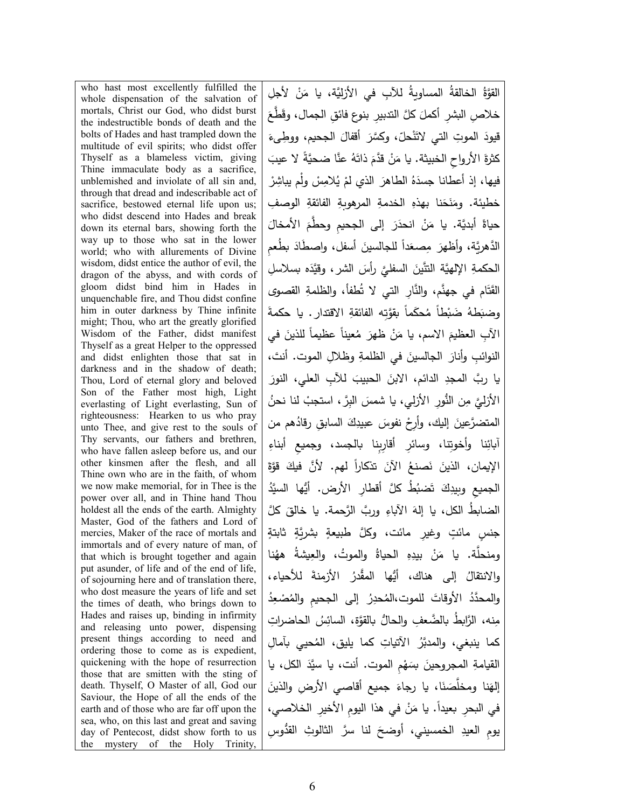who hast most excellently fulfilled the whole dispensation of the salvation of mortals, Christ our God, who didst burst the indestructible bonds of death and the bolts of Hades and hast trampled down the multitude of evil spirits; who didst offer Thyself as a blameless victim, giving Thine immaculate body as a sacrifice, unblemished and inviolate of all sin and, through that dread and indescribable act of sacrifice, bestowed eternal life upon us; who didst descend into Hades and break down its eternal bars, showing forth the way up to those who sat in the lower world; who with allurements of Divine wisdom, didst entice the author of evil, the dragon of the abyss, and with cords of gloom didst bind him in Hades in unquenchable fire, and Thou didst confine him in outer darkness by Thine infinite might; Thou, who art the greatly glorified Wisdom of the Father, didst manifest Thyself as a great Helper to the oppressed and didst enlighten those that sat in darkness and in the shadow of death; Thou, Lord of eternal glory and beloved Son of the Father most high, Light everlasting of Light everlasting, Sun of righteousness: Hearken to us who pray unto Thee, and give rest to the souls of Thy servants, our fathers and brethren, who have fallen asleep before us, and our other kinsmen after the flesh, and all Thine own who are in the faith, of whom we now make memorial, for in Thee is the power over all, and in Thine hand Thou holdest all the ends of the earth. Almighty Master, God of the fathers and Lord of mercies, Maker of the race of mortals and immortals and of every nature of man, of that which is brought together and again put asunder, of life and of the end of life, of sojourning here and of translation there, who dost measure the years of life and set the times of death, who brings down to Hades and raises up, binding in infirmity and releasing unto power, dispensing present things according to need and ordering those to come as is expedient, quickening with the hope of resurrection those that are smitten with the sting of death. Thyself, O Master of all, God our Saviour, the Hope of all the ends of the earth and of those who are far off upon the sea, who, on this last and great and saving day of Pentecost, didst show forth to us the mystery of the Holy Trinity,

القوَّةُ الخالقةُ المساويةُ للآبِ في الأزليَّة، يا مَنْ لأجلِ<br>. خلاصِ البشرِ أكملَ كلَّ التدبيرِ بنوع فائقِ الجمال، وقَطَّعَ قيودَ الموتِ التي لاتَنْحلّ، وكسَّرَ أقفالَ الجحيم، ووطِّىءَ كثرةَ الأرواحِ الخبيثة. يا مَنْ قدَّمَ ذاتَهُ عنَّا ضحيَّةً لا عيبَ .<br>م فيها، إذ أعطانا جسدَهُ الطاهرَ الذي لمْ يُلامِسْ ولْم يباشِرْ خطيئة. ومَنَحَنا بهذهِ الخدمةِ المرهوبةِ الفائقةِ الوصفِ َ َ الأمخال َ ِ إلى الجح�م َّ وحطم َر ْ انحد َن ً َّ أبد�ة. �ا م ح�اة الدَّهريَّة، وأظهرَ مِصعَداً للجالسينَ أسفل، واِصطَادَ بطُعمِ الْحَكْمَةِ الإِلْهِيَّة التَّتَينَ السفليَّ رأْسَ الشر، وقيَّدَه بسلاسلِ القَتَام في جهنَّم، والنَّارِ التي لا تُطفأ، والظلمةِ القصوى وضبَطهُ ضَبْطاً مُحكَماً بقوَّتِه الفائقةِ الاقتدارِ . يا حكمةَ الآبِ العظيمَ الاسم، يا مَنْ ظهرَ مُعيناً عظيماً للذينَ في النوائبِ وأنارَ الجالسينَ في الظلمةِ وظلالِ الموت. أنتَ، يا ربَّ المجدِ الدائم، الابنَ الحبيبَ للآبِ العلي، النورَ الأزل*يَّ مِن* النُّورِ الأزلي، يا شمسَ البِرَّ ، استجبْ لنا نحنُ المتضرَّعينَ إليك، وأرِحْ نفوسَ عبيدِكَ السابقِ رقادُهم من أبائِنا وأخوتِنا، وسائرِ أقارِبِنا بالجسد، وجميع أبناءِ الإيمان، الذينَ نَصنعُ الآنَ تذكاراً لهم. لأنَّ فيكَ قوَّةَ الجميعِ وبِيدِكَ تَضبُطُ كلَّ أقطارِ الأرض. أيُّها السيَّدُ الضابطُ الكل، يا إلهَ الآباءِ وربَّ الرَّحمة. يا خالقَ كلَّ جنسٍ مائتٍ وغيرِ مائت، وكلَّ طبيعةٍ بشريَّةٍ ثابتةٍ ُنا ومنحلَّة. يا مَنْ بيدِهِ الحياةُ والموتُ، والعِيشةُ ههُ والانتقالُ إلى هناك، أيُّها المقَّدرُ الأزمنةَ للأحياء، والمحدَّدُ الأوقاتَ للموت،المُحدِرُ ۖ إلى الجحيمِ والمُصْعِدُ مِنه، الرَّابِطُ بِالضَّعفِ والحالُّ بِالقوَّةِ، السائِسُ الحاضراتِ كما ينبغي، والمدبَّرُ الآتياتِ كما يليق، المُحيي بآمالِ القيامةِ المجروحينَ بسَهْمِ الموت. أنت، يا سيَّدَ الكل، يا إلهَنا ومخلَّصَنَا، يا رجاءَ جميع أقاصي الأرضِ والذينَ<br>-في البحرِ بعيداً. يا مَنْ في هذا اليومِ الأخيرِ الخلاصي، يومِ العيدِ الخمسيني، أوضحَ لنا سرَّ الثالوثِ القدُّوسِ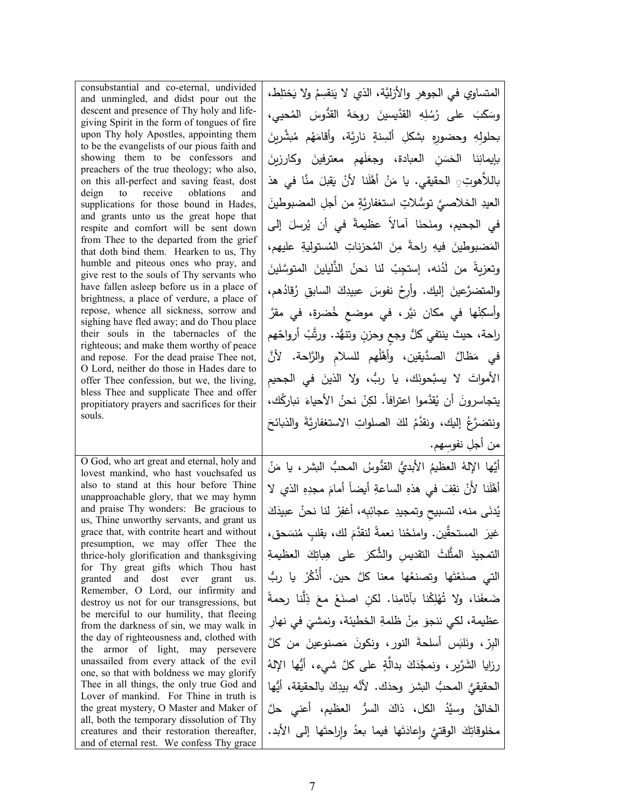| يتجاسرونَ أن يُقدَّموا اعترافاً. لكِنْ نحنُ الأحياءَ نباركُك،<br>propitiatory prayers and sacrifices for their<br>souls.<br>ونتضرَّعُ إليك، ونقدَّمُ لكَ الصلواتِ الاستغفاريَّةَ والذبائحَ<br>من أجلِ نفوسِهم.<br>O God, who art great and eternal, holy and<br>أيَّها الإِلهُ العظيمُ الأَبديُّ القدُّوسُ المحبُّ البشرِ ، يا مَنْ<br>lovest mankind, who hast vouchsafed us<br>also to stand at this hour before Thine<br>أَهَّلَنا لأَنْ نقِفَ في هذهِ الساعةِ أيضاً أمامَ مجدِهِ الذي لا<br>unapproachable glory, that we may hymn<br>يُدنَى منه، لتسبيح وتمجيدِ عجائِبِه، أغفِرْ لنا نحنُ عبيدَكَ<br>and praise Thy wonders: Be gracious to<br>us, Thine unworthy servants, and grant us<br>غيرَ  المستحقَّين. وامنَحْنا نعمةً لنقدَّمَ لك، بقلب مُنسَحق،<br>grace that, with contrite heart and without<br>presumption, we may offer Thee the<br>التمجيدَ المثَّلثَ التقديسِ والشُّكرَ  على  هِباتِكَ  العظيمةِ<br>thrice-holy glorification and thanksgiving<br>for Thy great gifts which Thou hast<br>التي صنَعْتَها وتصنعُها معنا كلَّ حين. أُذْكُرْ يا ربُّ<br>granted and<br>dost<br>ever grant<br>us.<br>Remember, O Lord, our infirmity and<br>ضَعفَنا، ولا تُهْلِكْنا بآثامِنا. لكن اصنَعْ معَ ذِلَّنا رحمةً<br>destroy us not for our transgressions, but<br>be merciful to our humility, that fleeing<br>عظيمة، لكي ننجوَ مِنْ ظلمةِ الخطيئة، ونمشيَ في نهار<br>from the darkness of sin, we may walk in<br>the day of righteousness and, clothed with<br>البرِّ ، ونَلبَس أسلحةَ النورِ ، ونكونَ مَصنوعينَ من كلَّ<br>the armor of light, may persevere<br>unassailed from every attack of the evil<br>رزايا الشَّرَّيرِ ، ونمجَّذَكَ بدالَّةٍ على كلَّ شيء، أيُّها الإِلهُ<br>one, so that with boldness we may glorify<br>الحقيقيُّ المحبُّ البشرَ وحدَك. لأنَّه بيدِكَ بالحقيقة، أيُّها<br>Thee in all things, the only true God and<br>Lover of mankind. For Thine in truth is<br>الخالقُ وسيَّدُ الكل، ذاكَ السرُّ العظيم، أعنى حلَّ<br>the great mystery, O Master and Maker of<br>all, both the temporary dissolution of Thy<br>مخلوقاتِكَ الوقتيَّ وإعادَتَها فيما بعدُ وإراحتَها إلى الأبد.<br>creatures and their restoration thereafter,<br>and of eternal rest. We confess Thy grace | consubstantial and co-eternal, undivided<br>and unmingled, and didst pour out the<br>descent and presence of Thy holy and life-<br>giving Spirit in the form of tongues of fire<br>upon Thy holy Apostles, appointing them<br>to be the evangelists of our pious faith and<br>showing them to be confessors and<br>preachers of the true theology; who also,<br>on this all-perfect and saving feast, dost<br>deign to receive oblations<br>and<br>supplications for those bound in Hades,<br>and grants unto us the great hope that<br>respite and comfort will be sent down<br>from Thee to the departed from the grief<br>that doth bind them. Hearken to us, Thy<br>humble and piteous ones who pray, and<br>give rest to the souls of Thy servants who<br>have fallen asleep before us in a place of<br>brightness, a place of verdure, a place of<br>repose, whence all sickness, sorrow and<br>sighing have fled away; and do Thou place<br>their souls in the tabernacles of the<br>righteous; and make them worthy of peace<br>and repose. For the dead praise Thee not,<br>O Lord, neither do those in Hades dare to<br>offer Thee confession, but we, the living, | المتساوي في الجوهرِ والأزليَّة، الذي لا يَنقسِمُ ولا يَختلِط،<br>وسَكَبَ على رُسُلِهِ القدَّيسينَ روحَهُ القدُّوسَ المُحيى،<br>بحلولهِ وحضورهِ بشكلِ ألسِنةٍ ناريَّة، وأقامَهُم مُبشَّربِنَ<br>بإيمانِنا الحَسَن العبادة، وجعَلَهم معترفينَ وكارزينَ<br>باللاَّهوتِ ِ الحقيقي. يا مَنْ أَهَّلَنا لأَنْ يَقبلَ منَّا في هذ<br>العيدِ الخلاصيَّ توسُّلاتٍ استغفاريَّةٍ من أجلِ المضبوطينَ<br>في الجحيم، ومنَحنَا آمالاً عظيمةً في أن يُرسلَ إلى<br>المَضبوطينَ فيهِ راحةً مِنَ المُحزِناتِ المُستوليةِ عليهم،<br>وتعزيةً من لَدُنه، إستجِبْ لنا نحنُ الذَّليلينَ المتوسَّلينَ<br>والمتضرَّعينَ إليك. وأرِحْ نفوسَ عبيدِكَ السابق رُقادُهم،<br>وأسكِنْها في مكان نيَّر، في موضع خُضرة، في مقرَّ<br>راحة، حيث ينتفي كلٌ وجع وحزنٍ وتتهُد. ورتَّبُ أرواحّهم<br>في مَظالَّ الصدَّيقين، وأهَّلْهم للسلام والزَّاحة. لأنَّ<br>الأمواتَ لا يسبَّحونَك، يا ربُّ، ولا الذينَ في الجحيم |
|-------------------------------------------------------------------------------------------------------------------------------------------------------------------------------------------------------------------------------------------------------------------------------------------------------------------------------------------------------------------------------------------------------------------------------------------------------------------------------------------------------------------------------------------------------------------------------------------------------------------------------------------------------------------------------------------------------------------------------------------------------------------------------------------------------------------------------------------------------------------------------------------------------------------------------------------------------------------------------------------------------------------------------------------------------------------------------------------------------------------------------------------------------------------------------------------------------------------------------------------------------------------------------------------------------------------------------------------------------------------------------------------------------------------------------------------------------------------------------------------------------------------------------------------------------------------------------------------------------------------------------------------------------------------------------------------------------------------------------------------------------------------------------------------------------------------------------------------------------------------------------------------------------------------------------------------------------------------------------------------------------------------------------------------------------------------------------------------------------------------------------------------------------------------------------------------------------------------|------------------------------------------------------------------------------------------------------------------------------------------------------------------------------------------------------------------------------------------------------------------------------------------------------------------------------------------------------------------------------------------------------------------------------------------------------------------------------------------------------------------------------------------------------------------------------------------------------------------------------------------------------------------------------------------------------------------------------------------------------------------------------------------------------------------------------------------------------------------------------------------------------------------------------------------------------------------------------------------------------------------------------------------------------------------------------------------------------------------------------------------------------------------------------|-----------------------------------------------------------------------------------------------------------------------------------------------------------------------------------------------------------------------------------------------------------------------------------------------------------------------------------------------------------------------------------------------------------------------------------------------------------------------------------------------------------------------------------------------------------------------------------------------------------------------------------------------------------------------------------------------------------------------------------------------------------------------------------------------------------------------------------------------------------------------------|
|                                                                                                                                                                                                                                                                                                                                                                                                                                                                                                                                                                                                                                                                                                                                                                                                                                                                                                                                                                                                                                                                                                                                                                                                                                                                                                                                                                                                                                                                                                                                                                                                                                                                                                                                                                                                                                                                                                                                                                                                                                                                                                                                                                                                                   | bless Thee and supplicate Thee and offer                                                                                                                                                                                                                                                                                                                                                                                                                                                                                                                                                                                                                                                                                                                                                                                                                                                                                                                                                                                                                                                                                                                                     |                                                                                                                                                                                                                                                                                                                                                                                                                                                                                                                                                                                                                                                                                                                                                                                                                                                                             |
|                                                                                                                                                                                                                                                                                                                                                                                                                                                                                                                                                                                                                                                                                                                                                                                                                                                                                                                                                                                                                                                                                                                                                                                                                                                                                                                                                                                                                                                                                                                                                                                                                                                                                                                                                                                                                                                                                                                                                                                                                                                                                                                                                                                                                   |                                                                                                                                                                                                                                                                                                                                                                                                                                                                                                                                                                                                                                                                                                                                                                                                                                                                                                                                                                                                                                                                                                                                                                              |                                                                                                                                                                                                                                                                                                                                                                                                                                                                                                                                                                                                                                                                                                                                                                                                                                                                             |
|                                                                                                                                                                                                                                                                                                                                                                                                                                                                                                                                                                                                                                                                                                                                                                                                                                                                                                                                                                                                                                                                                                                                                                                                                                                                                                                                                                                                                                                                                                                                                                                                                                                                                                                                                                                                                                                                                                                                                                                                                                                                                                                                                                                                                   |                                                                                                                                                                                                                                                                                                                                                                                                                                                                                                                                                                                                                                                                                                                                                                                                                                                                                                                                                                                                                                                                                                                                                                              |                                                                                                                                                                                                                                                                                                                                                                                                                                                                                                                                                                                                                                                                                                                                                                                                                                                                             |
|                                                                                                                                                                                                                                                                                                                                                                                                                                                                                                                                                                                                                                                                                                                                                                                                                                                                                                                                                                                                                                                                                                                                                                                                                                                                                                                                                                                                                                                                                                                                                                                                                                                                                                                                                                                                                                                                                                                                                                                                                                                                                                                                                                                                                   |                                                                                                                                                                                                                                                                                                                                                                                                                                                                                                                                                                                                                                                                                                                                                                                                                                                                                                                                                                                                                                                                                                                                                                              |                                                                                                                                                                                                                                                                                                                                                                                                                                                                                                                                                                                                                                                                                                                                                                                                                                                                             |
|                                                                                                                                                                                                                                                                                                                                                                                                                                                                                                                                                                                                                                                                                                                                                                                                                                                                                                                                                                                                                                                                                                                                                                                                                                                                                                                                                                                                                                                                                                                                                                                                                                                                                                                                                                                                                                                                                                                                                                                                                                                                                                                                                                                                                   |                                                                                                                                                                                                                                                                                                                                                                                                                                                                                                                                                                                                                                                                                                                                                                                                                                                                                                                                                                                                                                                                                                                                                                              |                                                                                                                                                                                                                                                                                                                                                                                                                                                                                                                                                                                                                                                                                                                                                                                                                                                                             |
|                                                                                                                                                                                                                                                                                                                                                                                                                                                                                                                                                                                                                                                                                                                                                                                                                                                                                                                                                                                                                                                                                                                                                                                                                                                                                                                                                                                                                                                                                                                                                                                                                                                                                                                                                                                                                                                                                                                                                                                                                                                                                                                                                                                                                   |                                                                                                                                                                                                                                                                                                                                                                                                                                                                                                                                                                                                                                                                                                                                                                                                                                                                                                                                                                                                                                                                                                                                                                              |                                                                                                                                                                                                                                                                                                                                                                                                                                                                                                                                                                                                                                                                                                                                                                                                                                                                             |
|                                                                                                                                                                                                                                                                                                                                                                                                                                                                                                                                                                                                                                                                                                                                                                                                                                                                                                                                                                                                                                                                                                                                                                                                                                                                                                                                                                                                                                                                                                                                                                                                                                                                                                                                                                                                                                                                                                                                                                                                                                                                                                                                                                                                                   |                                                                                                                                                                                                                                                                                                                                                                                                                                                                                                                                                                                                                                                                                                                                                                                                                                                                                                                                                                                                                                                                                                                                                                              |                                                                                                                                                                                                                                                                                                                                                                                                                                                                                                                                                                                                                                                                                                                                                                                                                                                                             |
|                                                                                                                                                                                                                                                                                                                                                                                                                                                                                                                                                                                                                                                                                                                                                                                                                                                                                                                                                                                                                                                                                                                                                                                                                                                                                                                                                                                                                                                                                                                                                                                                                                                                                                                                                                                                                                                                                                                                                                                                                                                                                                                                                                                                                   |                                                                                                                                                                                                                                                                                                                                                                                                                                                                                                                                                                                                                                                                                                                                                                                                                                                                                                                                                                                                                                                                                                                                                                              |                                                                                                                                                                                                                                                                                                                                                                                                                                                                                                                                                                                                                                                                                                                                                                                                                                                                             |
|                                                                                                                                                                                                                                                                                                                                                                                                                                                                                                                                                                                                                                                                                                                                                                                                                                                                                                                                                                                                                                                                                                                                                                                                                                                                                                                                                                                                                                                                                                                                                                                                                                                                                                                                                                                                                                                                                                                                                                                                                                                                                                                                                                                                                   |                                                                                                                                                                                                                                                                                                                                                                                                                                                                                                                                                                                                                                                                                                                                                                                                                                                                                                                                                                                                                                                                                                                                                                              |                                                                                                                                                                                                                                                                                                                                                                                                                                                                                                                                                                                                                                                                                                                                                                                                                                                                             |
|                                                                                                                                                                                                                                                                                                                                                                                                                                                                                                                                                                                                                                                                                                                                                                                                                                                                                                                                                                                                                                                                                                                                                                                                                                                                                                                                                                                                                                                                                                                                                                                                                                                                                                                                                                                                                                                                                                                                                                                                                                                                                                                                                                                                                   |                                                                                                                                                                                                                                                                                                                                                                                                                                                                                                                                                                                                                                                                                                                                                                                                                                                                                                                                                                                                                                                                                                                                                                              |                                                                                                                                                                                                                                                                                                                                                                                                                                                                                                                                                                                                                                                                                                                                                                                                                                                                             |
|                                                                                                                                                                                                                                                                                                                                                                                                                                                                                                                                                                                                                                                                                                                                                                                                                                                                                                                                                                                                                                                                                                                                                                                                                                                                                                                                                                                                                                                                                                                                                                                                                                                                                                                                                                                                                                                                                                                                                                                                                                                                                                                                                                                                                   |                                                                                                                                                                                                                                                                                                                                                                                                                                                                                                                                                                                                                                                                                                                                                                                                                                                                                                                                                                                                                                                                                                                                                                              |                                                                                                                                                                                                                                                                                                                                                                                                                                                                                                                                                                                                                                                                                                                                                                                                                                                                             |
|                                                                                                                                                                                                                                                                                                                                                                                                                                                                                                                                                                                                                                                                                                                                                                                                                                                                                                                                                                                                                                                                                                                                                                                                                                                                                                                                                                                                                                                                                                                                                                                                                                                                                                                                                                                                                                                                                                                                                                                                                                                                                                                                                                                                                   |                                                                                                                                                                                                                                                                                                                                                                                                                                                                                                                                                                                                                                                                                                                                                                                                                                                                                                                                                                                                                                                                                                                                                                              |                                                                                                                                                                                                                                                                                                                                                                                                                                                                                                                                                                                                                                                                                                                                                                                                                                                                             |
|                                                                                                                                                                                                                                                                                                                                                                                                                                                                                                                                                                                                                                                                                                                                                                                                                                                                                                                                                                                                                                                                                                                                                                                                                                                                                                                                                                                                                                                                                                                                                                                                                                                                                                                                                                                                                                                                                                                                                                                                                                                                                                                                                                                                                   |                                                                                                                                                                                                                                                                                                                                                                                                                                                                                                                                                                                                                                                                                                                                                                                                                                                                                                                                                                                                                                                                                                                                                                              |                                                                                                                                                                                                                                                                                                                                                                                                                                                                                                                                                                                                                                                                                                                                                                                                                                                                             |
|                                                                                                                                                                                                                                                                                                                                                                                                                                                                                                                                                                                                                                                                                                                                                                                                                                                                                                                                                                                                                                                                                                                                                                                                                                                                                                                                                                                                                                                                                                                                                                                                                                                                                                                                                                                                                                                                                                                                                                                                                                                                                                                                                                                                                   |                                                                                                                                                                                                                                                                                                                                                                                                                                                                                                                                                                                                                                                                                                                                                                                                                                                                                                                                                                                                                                                                                                                                                                              |                                                                                                                                                                                                                                                                                                                                                                                                                                                                                                                                                                                                                                                                                                                                                                                                                                                                             |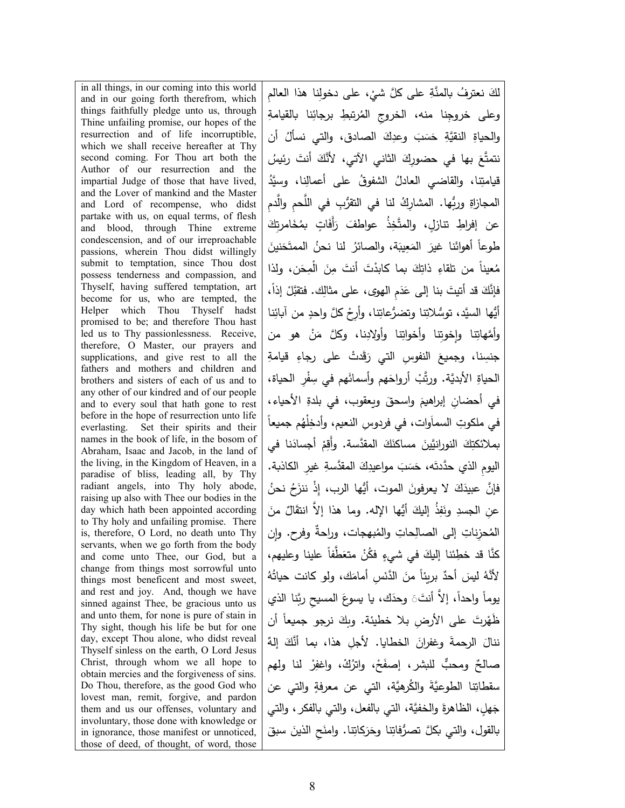in all things, in our coming into this world and in our going forth therefrom, which things faithfully pledge unto us, through Thine unfailing promise, our hopes of the resurrection and of life incorruptible, which we shall receive hereafter at Thy second coming. For Thou art both the Author of our resurrection and the impartial Judge of those that have lived, and the Lover of mankind and the Master and Lord of recompense, who didst partake with us, on equal terms, of flesh and blood, through Thine extreme condescension, and of our irreproachable passions, wherein Thou didst willingly submit to temptation, since Thou dost possess tenderness and compassion, and Thyself, having suffered temptation, art become for us, who are tempted, the Helper which Thou Thyself hadst promised to be; and therefore Thou hast led us to Thy passionlessness. Receive, therefore, O Master, our prayers and supplications, and give rest to all the fathers and mothers and children and brothers and sisters of each of us and to any other of our kindred and of our people and to every soul that hath gone to rest before in the hope of resurrection unto life everlasting. Set their spirits and their names in the book of life, in the bosom of Abraham, Isaac and Jacob, in the land of the living, in the Kingdom of Heaven, in a paradise of bliss, leading all, by Thy radiant angels, into Thy holy abode, raising up also with Thee our bodies in the day which hath been appointed according to Thy holy and unfailing promise. There is, therefore, O Lord, no death unto Thy servants, when we go forth from the body and come unto Thee, our God, but a change from things most sorrowful unto things most beneficent and most sweet, and rest and joy. And, though we have sinned against Thee, be gracious unto us and unto them, for none is pure of stain in Thy sight, though his life be but for one day, except Thou alone, who didst reveal Thyself sinless on the earth, O Lord Jesus Christ, through whom we all hope to obtain mercies and the forgiveness of sins. Do Thou, therefore, as the good God who lovest man, remit, forgive, and pardon them and us our offenses, voluntary and involuntary, those done with knowledge or in ignorance, those manifest or unnoticed, those of deed, of thought, of word, those

ْ ِ ، على دخول ِ نا هذا العالم ِ َّ على �ل شي نعترف َّ �المنة ُ َ لك وعلى خروجِنا منه، الخروجِ المُرتبطِ برجائِنا بالقيامةِ والحياةِ النقيَّةِ حَسَبَ وعدِكَ الصادق، والتي نسألُ أن نتمتَّعَ بها في حضورِكَ الثاني الآتي، لأنَّكَ أنتَ رئيسُ قيامتِنا، والقاضي العادلُ الشفوقُ على أعمالِنا، وسيَّدُ المجازاةِ وربُّها. المشارِكُ لنا في التقرُّبِ في اللَّحمِ والَّدمِ عن إفراطِ تنازلٍ، والمتَّخِذُ عواطفَ رَأَفَاتٍ بمُخَامرتِكَ طوعاً أهوائَنا غيرَ المَعِيبَة، والصائرُ لنا نحنُ الممتَحَنينَ مُعيناً من تلقاءِ ذاتِكَ بما كابدْتَ أنتَ مِنَ الْمِحَن، ولذا فإنَّكَ قد أتيتَ بنا إلى عَدَمِ الهوى، على مثالِك. فتقبَّلْ إذاً، أَيُّها السيَّد، توسُّلاتِنا وتِضرُعاتِنا، وأرِحْ كلَّ واحدٍ من آبائِنا وأُمَّهاتِنا وإخوتِنا وأولادُ وأولادِنا، وكلَّ مَنْ هو من جنسِنا، وجميعَ النفوسِ التي رَقَدتْ على رجاءِ قيامةِ الحياةِ الأبديَّة. ورتَّبْ أرواحَهم وأسمائَهم في سِفْرِ الحياة، في أحضانِ إبراهيمَ واسحقَ ويعقوب، في بلدةِ الأحياء، في ملكوتِ السماَوات، في فردوسِ النعيم، وأدخِلْهُم جميعاً بملائكتِكَ النورانيَّينَ مساكنَكَ المقدَّسة. وأَقِمْ أجسادَنا في اليومِ الذي حدَّدتَه، حَسَبَ مواعيدِكَ المقدَّسةِ غيرِ الكاذبة.<br>-فإنَّ عبيدَكَ لا يعرفونَ الموت، أيُّها الرب، إِذْ ننزَحُ نحنُ عنِ الجسدِ ونَفِذُ إليكَ أَيُّها الإِله. وما هذا إلاَّ انتقَالٌ منَ المُحزِناتِ إلى الصالِحاتِ والمُبهجات، وراحةٌ وفرح. وإن كنَّا قد خطِئنا إليكَ في شيءٍ فكُنْ متعَطَّفاً علينا وعليهم، لأَنَّهُ ليسَ أحدٌ بريئاً منَ الدَّنَسِ أمامَك، ولو كانت حياتُهُ يوماً واحداً، إلاَّ أنتَ<sub>َ</sub> وحدَك، يا يسوعَ المسيحِ ربَّنا الذ*ي* ظُهُرتَ على الأرضِ بلا خطيئة. وبكَ نرجو جميعاً أن ننالَ الرحمةَ وغفرانَ الخطايا. لأجلِ هذا، بما أنَّكَ إلهٌ صالحٌ ومحبٌّ للبشر، إصفَحْ، واترُكْ، واغفِرْ لنا ولهم سقطاتِنا الطوعيَّةَ والكُرهيَّة، التي عن معرفةٍ والتي عن جَهلٍ، الظاهرةَ والخفيَّة، التي بالفعل، والتي بالفكر ، والتي بالقول، والتي بكلَّ تصرُفاتِنا وحَرَكاتِنا. وامنَحِ الذينَ سبقَ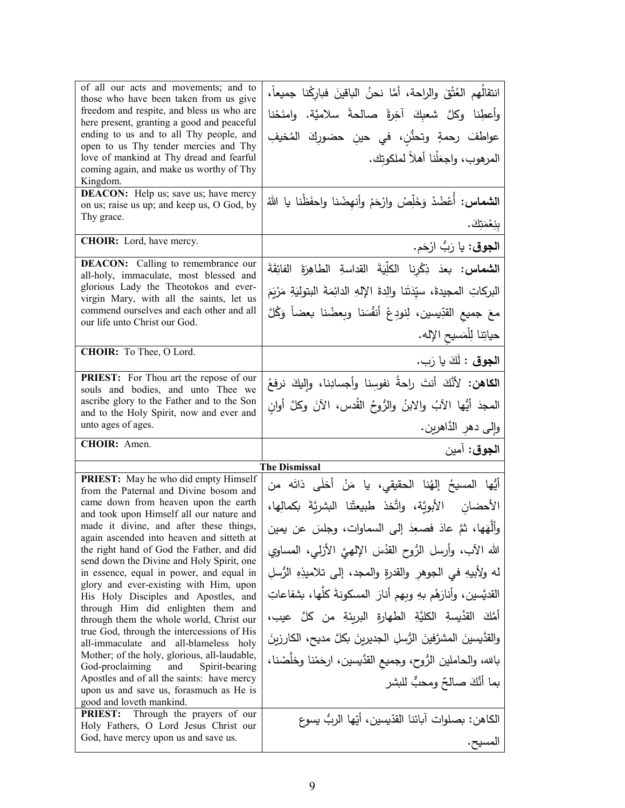| of all our acts and movements; and to<br>those who have been taken from us give        | انتقالُهم العُنْقَ والراحة، أمَّا نحنُ الباقينَ فباركُنا جميعاً،            |
|----------------------------------------------------------------------------------------|-----------------------------------------------------------------------------|
| freedom and respite, and bless us who are                                              | وأعطِنا وكلَّ شعبِكَ آخِرةً صالحةً سلاميَّة. وامنَحْنا                      |
| here present, granting a good and peaceful<br>ending to us and to all Thy people, and  | عواطفَ رحمةٍ وتحنُّنِ، في حينِ حضورِكَ المُخيفِ                             |
| open to us Thy tender mercies and Thy<br>love of mankind at Thy dread and fearful      | المرهوب، واجعَلْنا أهلاً لملكوتك.                                           |
| coming again, and make us worthy of Thy                                                |                                                                             |
| Kingdom.<br><b>DEACON:</b> Help us; save us; have mercy                                |                                                                             |
| on us; raise us up; and keep us, O God, by                                             | ا <b>لشماس</b> : أُعْضُدْ وَخَلِّصْ وارْحَمْ وأنهِضْنا واحفَظْنا يا اللهُ   |
| Thy grace.                                                                             | بِنِعْمَتِكَ.                                                               |
| CHOIR: Lord, have mercy.                                                               | ا <b>لجوق</b> : يا رَبُّ ارْحَم.                                            |
| <b>DEACON:</b> Calling to remembrance our                                              | الشماس: بعدَ ذِكْرِنا الكلِّيَةَ القداسةِ الطاهِرَةَ الفائِقَةَ             |
| all-holy, immaculate, most blessed and<br>glorious Lady the Theotokos and ever-        | البركاتِ المجيدة، سيِّدَتَنا والِدةَ الإِلهِ الدائِمَةَ البتوليَةِ مَرْيَمَ |
| virgin Mary, with all the saints, let us<br>commend ourselves and each other and all   | معَ جميع القدِّيسين، لِنودِعْ أنفُسَنا وبعضُنا بعضاً وَكُلَّ                |
| our life unto Christ our God.                                                          |                                                                             |
|                                                                                        | حياتِنا لِلْمَسيحِ الإِله.                                                  |
| CHOIR: To Thee, O Lord.                                                                | ا <b>لجوق :</b> لَكَ يا رَب.                                                |
| PRIEST: For Thou art the repose of our<br>souls and bodies, and unto Thee we           | ا <b>لكاهن:</b> لأَنَّكَ أنتَ راحةُ نفوسِنا وأجسادِنا، وإليكَ نرفعُ         |
| ascribe glory to the Father and to the Son                                             | المجدَ أيُّها الآبُ والابنُ والرُّوحُ القُدس، الآنَ وكلَّ أوانِ             |
| and to the Holy Spirit, now and ever and                                               |                                                                             |
| unto ages of ages.                                                                     |                                                                             |
| CHOIR: Amen.                                                                           | وإِلى دهرِ الدَّاهرين.                                                      |
|                                                                                        | ا <b>لجوق</b> : آمين                                                        |
|                                                                                        | The Dismissal                                                               |
| PRIEST: May he who did empty Himself<br>from the Paternal and Divine bosom and         | أَيُّها المسيحُ إلهُنا الحقيقي، يا مَنْ أَخلَى ذاتَه من                     |
| came down from heaven upon the earth<br>and took upon Himself all our nature and       | الأحضانِ الأبويَّة، واتَّخذ طبيعتَّنا البشريَّةَ بكمالِها،                  |
| made it divine, and after these things,                                                | وألَّهَها، ثمَّ عادَ فصعِدَ إلى السماوات، وجلسَ عن يمين                     |
| again ascended into heaven and sitteth at<br>the right hand of God the Father, and did | الله الآب، وأرسل الرُّوح القدُسَ الإلهيَّ الأزلمي، المساوي                  |
| send down the Divine and Holy Spirit, one<br>in essence, equal in power, and equal in  | له ولأبيهِ في الجوهر والقدرةِ والمجد، إلى تلاميذِهِ الرُّسلِ                |
| glory and ever-existing with Him, upon<br>His Holy Disciples and Apostles, and         | القديَّسين، وأنارَهُم بهِ وبهم أنارَ  المسكونةَ كلُّها، بشفاعاتِ            |
| through Him did enlighten them and                                                     |                                                                             |
| through them the whole world, Christ our<br>true God, through the intercessions of His | أَمَّكَ القدَّيسةِ الكليَّةِ الطهارةِ البريئةِ من كلَّ عيب،                 |
| all-immaculate and all-blameless holy<br>Mother; of the holy, glorious, all-laudable,  | والقدَّيسينَ المشرَّفينَ الرُّسلِ الجديريِنَ بكلَّ مديح، الكارزيِنَ         |
| God-proclaiming<br>and<br>Spirit-bearing<br>Apostles and of all the saints: have mercy | بالله، والحاملين الرُّوح، وجميع القدَّيسين، ارحَمْنا وخلَّصْنا،             |
| upon us and save us, forasmuch as He is                                                | بما أنَّكَ صالحٌ ومحبٌّ للبشر                                               |
| good and loveth mankind.<br><b>PRIEST:</b> Through the prayers of our                  |                                                                             |
| Holy Fathers, O Lord Jesus Christ our<br>God, have mercy upon us and save us.          | الكاهن: بصلوات آبائنا القدّيسين، أيّها الربُّ يسوع<br>المسيح.               |